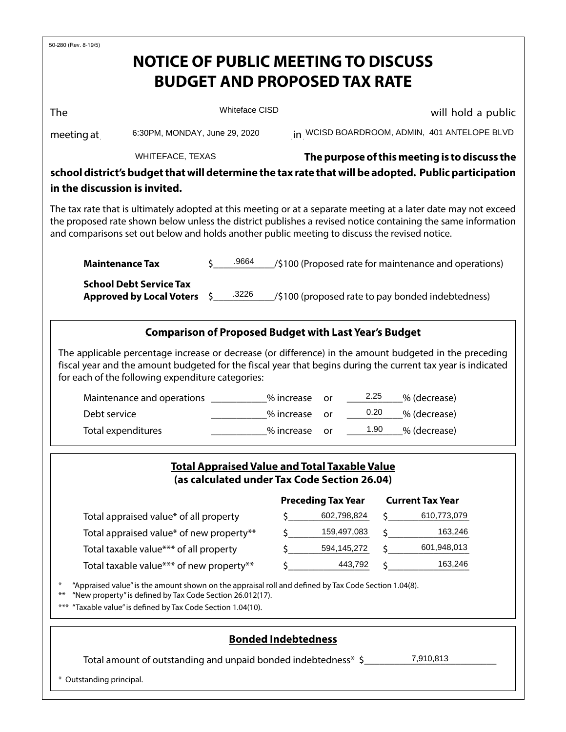| 50-280 (Rev. 8-19/5)                                                                                                                                                                                                                                                                                                                            |                               |                                        |                                                       |         |                                               |  |  |  |  |
|-------------------------------------------------------------------------------------------------------------------------------------------------------------------------------------------------------------------------------------------------------------------------------------------------------------------------------------------------|-------------------------------|----------------------------------------|-------------------------------------------------------|---------|-----------------------------------------------|--|--|--|--|
| <b>NOTICE OF PUBLIC MEETING TO DISCUSS</b>                                                                                                                                                                                                                                                                                                      |                               |                                        |                                                       |         |                                               |  |  |  |  |
|                                                                                                                                                                                                                                                                                                                                                 |                               |                                        | <b>BUDGET AND PROPOSED TAX RATE</b>                   |         |                                               |  |  |  |  |
|                                                                                                                                                                                                                                                                                                                                                 |                               |                                        |                                                       |         |                                               |  |  |  |  |
| <b>The</b>                                                                                                                                                                                                                                                                                                                                      | <b>Whiteface CISD</b>         |                                        |                                                       |         | will hold a public                            |  |  |  |  |
| meeting at                                                                                                                                                                                                                                                                                                                                      | 6:30PM, MONDAY, June 29, 2020 |                                        |                                                       |         | in WCISD BOARDROOM, ADMIN, 401 ANTELOPE BLVD  |  |  |  |  |
| <b>WHITEFACE, TEXAS</b>                                                                                                                                                                                                                                                                                                                         |                               |                                        |                                                       |         | The purpose of this meeting is to discuss the |  |  |  |  |
| school district's budget that will determine the tax rate that will be adopted. Public participation                                                                                                                                                                                                                                            |                               |                                        |                                                       |         |                                               |  |  |  |  |
| in the discussion is invited.                                                                                                                                                                                                                                                                                                                   |                               |                                        |                                                       |         |                                               |  |  |  |  |
| The tax rate that is ultimately adopted at this meeting or at a separate meeting at a later date may not exceed<br>the proposed rate shown below unless the district publishes a revised notice containing the same information<br>and comparisons set out below and holds another public meeting to discuss the revised notice.                |                               |                                        |                                                       |         |                                               |  |  |  |  |
| <b>Maintenance Tax</b>                                                                                                                                                                                                                                                                                                                          | .9664                         |                                        | /\$100 (Proposed rate for maintenance and operations) |         |                                               |  |  |  |  |
| <b>School Debt Service Tax</b><br><b>Approved by Local Voters</b>                                                                                                                                                                                                                                                                               | .3226<br>\$.                  |                                        | /\$100 (proposed rate to pay bonded indebtedness)     |         |                                               |  |  |  |  |
| The applicable percentage increase or decrease (or difference) in the amount budgeted in the preceding<br>fiscal year and the amount budgeted for the fiscal year that begins during the current tax year is indicated<br>for each of the following expenditure categories:<br>Maintenance and operations<br>Debt service<br>Total expenditures |                               | % increase<br>% increase<br>% increase | 2.25<br>or<br>0.20<br>or<br>or                        | 1.90    | _% (decrease)<br>% (decrease)<br>% (decrease) |  |  |  |  |
| <b>Total Appraised Value and Total Taxable Value</b><br>(as calculated under Tax Code Section 26.04)                                                                                                                                                                                                                                            |                               |                                        |                                                       |         |                                               |  |  |  |  |
|                                                                                                                                                                                                                                                                                                                                                 |                               |                                        | <b>Preceding Tax Year</b>                             |         | <b>Current Tax Year</b>                       |  |  |  |  |
| Total appraised value* of all property                                                                                                                                                                                                                                                                                                          |                               |                                        | \$602,798,824<br>$\zeta$ 159,497,083                  |         | 610,773,079<br>163,246                        |  |  |  |  |
| Total appraised value* of new property**<br>Total taxable value*** of all property                                                                                                                                                                                                                                                              |                               |                                        | $\frac{1}{2}$ 594,145,272                             | $\zeta$ | 601,948,013                                   |  |  |  |  |
| Total taxable value*** of new property**                                                                                                                                                                                                                                                                                                        |                               |                                        | 443,792                                               |         | 163,246                                       |  |  |  |  |
| "Appraised value" is the amount shown on the appraisal roll and defined by Tax Code Section 1.04(8).<br>$\ast$<br>"New property" is defined by Tax Code Section 26.012(17).<br>$***$<br>"Taxable value" is defined by Tax Code Section 1.04(10).<br>$***$                                                                                       |                               |                                        |                                                       |         |                                               |  |  |  |  |
|                                                                                                                                                                                                                                                                                                                                                 |                               | <b>Bonded Indebtedness</b>             |                                                       |         |                                               |  |  |  |  |
| Total amount of outstanding and unpaid bonded indebtedness* \$                                                                                                                                                                                                                                                                                  |                               |                                        |                                                       |         | 7,910,813                                     |  |  |  |  |
| * Outstanding principal.                                                                                                                                                                                                                                                                                                                        |                               |                                        |                                                       |         |                                               |  |  |  |  |